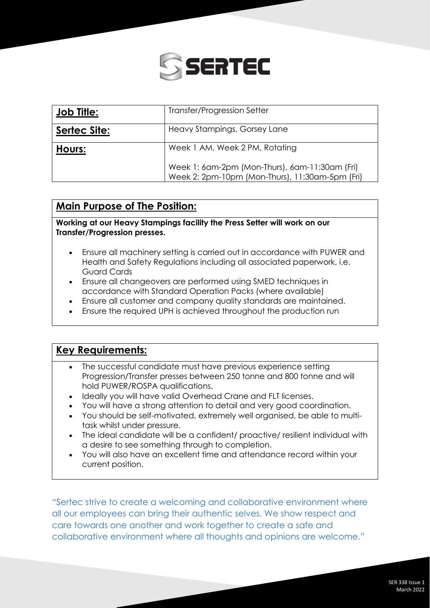

| <b>Job Title:</b> | Transfer/Progression Setter                                                                       |
|-------------------|---------------------------------------------------------------------------------------------------|
| Sertec Site:      | Heavy Stampings, Gorsey Lane                                                                      |
| Hours:            | Week 1 AM, Week 2 PM, Rotating                                                                    |
|                   | Week 1: 6am-2pm (Mon-Thurs), 6am-11:30am (Fri)<br>Week 2: 2pm-10pm (Mon-Thurs), 11:30am-5pm (Fri) |

## **Main Purpose of The Position:**

**Working at our Heavy Stampings facility the Press Setter will work on our Transfer/Progression presses.**

- Ensure all machinery setting is carried out in accordance with PUWER and Health and Safety Regulations including all associated paperwork, i.e. Guard Cards
- Ensure all changeovers are performed using SMED techniques in accordance with Standard Operation Packs (where available)
- Ensure all customer and company quality standards are maintained.
- Ensure the required UPH is achieved throughout the production run

## **Key Requirements:**

- The successful candidate must have previous experience setting Progression/Transfer presses between 250 tonne and 800 tonne and will hold PUWER/ROSPA qualifications.
- Ideally you will have valid Overhead Crane and FLT licenses.
- You will have a strong attention to detail and very good coordination.
- You should be self-motivated, extremely well organised, be able to multitask whilst under pressure.
- The ideal candidate will be a confident/ proactive/ resilient individual with a desire to see something through to completion.
- You will also have an excellent time and attendance record within your current position.

"Sertec strive to create a welcoming and collaborative environment where all our employees can bring their authentic selves. We show respect and care towards one another and work together to create a safe and collaborative environment where all thoughts and opinions are welcome."